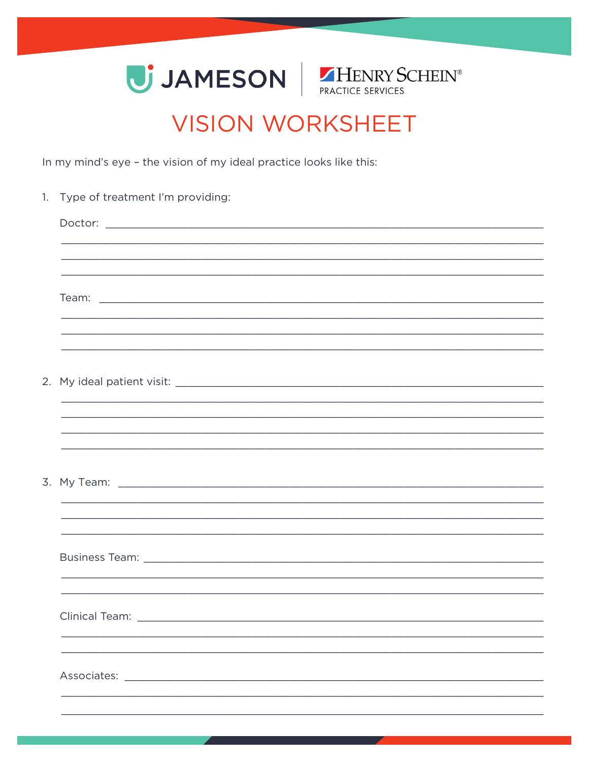



## **VISION WORKSHEET**

In my mind's eye - the vision of my ideal practice looks like this:

|  | 1. Type of treatment I'm providing:                         |
|--|-------------------------------------------------------------|
|  |                                                             |
|  |                                                             |
|  |                                                             |
|  |                                                             |
|  |                                                             |
|  |                                                             |
|  |                                                             |
|  |                                                             |
|  |                                                             |
|  | <u> 1989 - Johann Barn, Amerikaansk politiker (d. 1989)</u> |
|  |                                                             |
|  |                                                             |
|  |                                                             |
|  |                                                             |
|  |                                                             |
|  |                                                             |
|  |                                                             |
|  | <b>Clinical Team:</b>                                       |
|  |                                                             |
|  |                                                             |
|  | Associates: Associates:                                     |
|  |                                                             |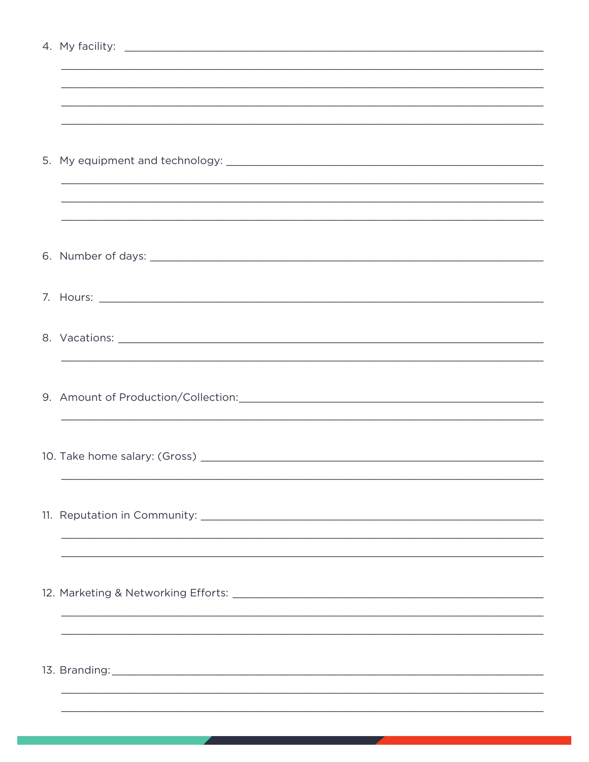| <u> 1989 - Johann Stoff, amerikansk politiker (d. 1989)</u> |
|-------------------------------------------------------------|
|                                                             |
|                                                             |
|                                                             |
|                                                             |
|                                                             |
|                                                             |
|                                                             |
|                                                             |
|                                                             |
|                                                             |
|                                                             |
|                                                             |
|                                                             |
|                                                             |
|                                                             |
|                                                             |
|                                                             |
|                                                             |
|                                                             |
|                                                             |
|                                                             |
|                                                             |
|                                                             |
|                                                             |
|                                                             |
|                                                             |
|                                                             |
|                                                             |
|                                                             |
|                                                             |
|                                                             |
|                                                             |